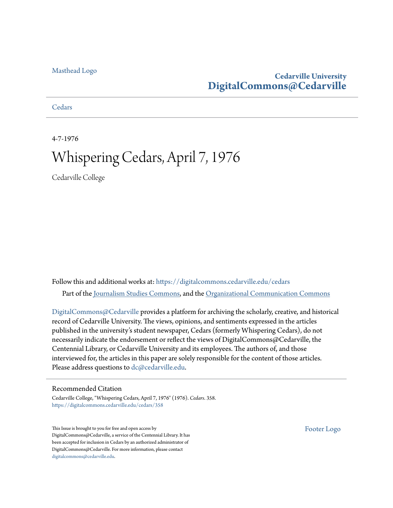#### [Masthead Logo](http://www.cedarville.edu/?utm_source=digitalcommons.cedarville.edu%2Fcedars%2F358&utm_medium=PDF&utm_campaign=PDFCoverPages)

### **Cedarville University [DigitalCommons@Cedarville](https://digitalcommons.cedarville.edu?utm_source=digitalcommons.cedarville.edu%2Fcedars%2F358&utm_medium=PDF&utm_campaign=PDFCoverPages)**

**[Cedars](https://digitalcommons.cedarville.edu/cedars?utm_source=digitalcommons.cedarville.edu%2Fcedars%2F358&utm_medium=PDF&utm_campaign=PDFCoverPages)** 

4-7-1976

## Whispering Cedars, April 7, 1976

Cedarville College

Follow this and additional works at: [https://digitalcommons.cedarville.edu/cedars](https://digitalcommons.cedarville.edu/cedars?utm_source=digitalcommons.cedarville.edu%2Fcedars%2F358&utm_medium=PDF&utm_campaign=PDFCoverPages) Part of the [Journalism Studies Commons](http://network.bepress.com/hgg/discipline/333?utm_source=digitalcommons.cedarville.edu%2Fcedars%2F358&utm_medium=PDF&utm_campaign=PDFCoverPages), and the [Organizational Communication Commons](http://network.bepress.com/hgg/discipline/335?utm_source=digitalcommons.cedarville.edu%2Fcedars%2F358&utm_medium=PDF&utm_campaign=PDFCoverPages)

[DigitalCommons@Cedarville](http://digitalcommons.cedarville.edu/) provides a platform for archiving the scholarly, creative, and historical record of Cedarville University. The views, opinions, and sentiments expressed in the articles published in the university's student newspaper, Cedars (formerly Whispering Cedars), do not necessarily indicate the endorsement or reflect the views of DigitalCommons@Cedarville, the Centennial Library, or Cedarville University and its employees. The authors of, and those interviewed for, the articles in this paper are solely responsible for the content of those articles. Please address questions to [dc@cedarville.edu.](mailto:dc@cedarville.edu)

#### Recommended Citation

Cedarville College, "Whispering Cedars, April 7, 1976" (1976). *Cedars*. 358. [https://digitalcommons.cedarville.edu/cedars/358](https://digitalcommons.cedarville.edu/cedars/358?utm_source=digitalcommons.cedarville.edu%2Fcedars%2F358&utm_medium=PDF&utm_campaign=PDFCoverPages)

This Issue is brought to you for free and open access by DigitalCommons@Cedarville, a service of the Centennial Library. It has been accepted for inclusion in Cedars by an authorized administrator of DigitalCommons@Cedarville. For more information, please contact [digitalcommons@cedarville.edu](mailto:digitalcommons@cedarville.edu).

[Footer Logo](http://www.cedarville.edu/Academics/Library.aspx?utm_source=digitalcommons.cedarville.edu%2Fcedars%2F358&utm_medium=PDF&utm_campaign=PDFCoverPages)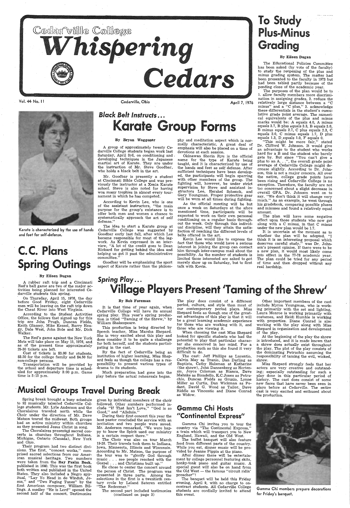

Vol. 44· No. 11

Karate is characterized by the use of hands and feet for self~defense.

# C.C. Plans **Spring Outings**

#### By Eileen Dugan

A rubber raft trip and a Cincinnati Red's ball game are two of the major activities being planned for interested Cedarville students this spring.

On Thursday, April 15, 1976, the day before Good Friday, eight Cedarville men will be leaving on the raft trip down the Cheat River into West Virginia.

 Cost of tickets is \$3.00 for students, \$3.50 for the college family and \$4.50 for non-college persons.<br>Transportation will be provided by

the school and departure time is scheduled for approximately 3:00 p.m. Game

# *Black Belt Instructs ...* rate Group Forms

According to the Student Activities Office, the fellows that signed up for this trip are John Prugh, Duncan Fields, Keith Glassey, Mike Kessel, Barry Heagy, Dale West, John Bole and Mr. Dick Walker.

The Red's game against the New York Mets will take place on May 15, 1976, and as of the present time, approximately 25-30 tickets are left.

According to Kevin Lee, who is one of the assistant instructors, "the main purpose for the group's existance is to offer both men and women a chance to systematically approach the art of self defense.'

The idea to start a Karate group at Cedarville College was suggested by Goodbar early last fall, after which Lee became responsible for most of the legwork. As Kevin expressed in an interview, "A lot of the credit goes to Dean Rickard for getting behind the idea and helping us get it past the administrative committee."

Cedarville, Ohio

April 7, 1976

#### By Bryan Waggoner

<sup>A</sup>group of approximately twenty Cedarville College students began work last Saturday, April 3rd, on conditioning and , developing techniques in the Japanese martial art of Karate. They are under the instruction of Mr. Steve Goodbar, who holds a black belt in the, art.

Mr. Goodbar is presently a student at Cincinnati Bible College and was previously the instructor at a Xenia Karate school. Steve is also noted for having won many trophies in almost every tournament in which he has competed.

# To Study Plus-Minus Grading

Goodbar will be emphasizing the sport aspect of Karate rather than the philosophy and meditation aspect which is nor mally characteristic. A great deal of emphasis will also be placed on a time of devotions at each session.

> The plan will have some negative<br>effect upon those students who now get along with a C minus, in that C minus under the new plan would be 1.7.

Okinawan Shorin Ryu is the official name for the type of Karate being taught, and it is characterized by use of the hands and feet as self defense. After sufficient techniques have been develop ed, the participants will begin sparring with other members of the group. The fighting will, however, be under strict supervision by Steve and assistant in structors Lee, Hershel Schenck, and Gary Youngman. Proper protective gear will be worn at all times during fighting.

## *Spring Play...* . illage Players Present 'Taming of the Shrew'

It is that time of year again, when Cedarville College will have its annual spring play. This year's spring production is titled "Taming of the Shrew,'' by William Shakespeare.

As the official meeting will be but once a week on Saturdays at the afore mentioned time, participants will be expected to work on their own personal conditioning on a regular basis throughout the week. Only through this individ ual discipline, will they attain the satis faction of reaching the different levels of belts offered in the art.

Kevin Lee would like to express the fact that those who would have a serious interest in joining the group can contact him through inter-campus mail about the possibility. As the number of students is limited those interested are asked to not merely show up on Saturday, but to first talk with Kevin.

#### By Eileen Dugan

The Educational Policies Committee has been asked (by vote of the faculty) to study the reopening of the plus and minus grading system. The matter had been presented to the faculty in 1973 but had been tabled partly because of the pending close of the academic year.

time is 5:15 p.m. <sup>p</sup>lay before the actual rehearsals began.

The purposes of the plan would be to 1. allow faculty members more discrimination in assigning grades, 2. reduce the relatively large distance between a "C minus" and a "C plus," 3. acknowledge these differentials in the student's cumulative grade point average. The numerical equivalents of the plus and minus marks would be: A equals 4.0, A minus equals 3.7, B plus equals 3.3, B equals 3.0, <sup>B</sup>minus equals 2.7, C plus equals 2.3, C equals 2.0, C minus equals 1.7, D plus equals 1.3, D. equals 1.0, F' equals 0.

The Choralaires presented sacred concerts in churches throughout Indiana, Michigan, Ontario (Canada), New York and Ohio.

given by individual members of the choir followed. Other numbers performed include "If That Isn't Love," "God is so Good," and "Alleluia."

"This might be more fair," stated Dr. Clifford W. Johnson. It would give an advantage to the student who works hard for a  $\overline{B}$  and the student who barely gets by. But since "You can't give <sup>a</sup> plus to an  $A. \ldots$ ", the overall grade point average of Cedarville College might decrease slightly. According to Dr. Johnson, this is not a major concern. All over the nation, college grade points have been rising and Cedarville College· is no exception. Therefore, the faculty are not too concerned about a slight decrease in overall GPA. Dr. Johnson went on to say, "We don't think it will change very much." As an example, he went through his gradebook, comparing possible pluses and minuses and found a relatively equal amount.

The Choir was also on tour March 19-28. Their travels took them to Indiana, Iowa, Minnesota, Illinois and Wisconsin. According to Mr. Matson, the purpose of the tour was to "glorify God through music . . . see people reached with the Gospel . . . and Christians built up.'

## Gamma Chi Hosts "Continental Express"

After dinner there will be entertainment by college personnel featuring skits, honky-tonk piano and guitar music. <sup>A</sup> special guest will also be on hand from the Old West — the famous "circuit ridin" preacher"!

It is uncertain at the moment as to whether the plan will be adopted. "I think it is an interesting proposal which deserves careful study," was Dr. Johnson's present opinion. If there were to be <sup>a</sup>new plan, it would most likely come into effect in the 77-78 academic year. The plan could be tried for any period of time and then dropped without any real hardship.

#### By Bob Foreman

This production is being directed by Speech teacher, Miss Marsha Shepard. She is very excited about this play and does consider it to be quite a challenge for both herself, and the students participating in the cast.

By the fact of Cedarville being an institution of higher learning, Miss Shepard feels as though the college has a responsibility to present various types of drama to its students.

Much preparation had gone into

The play does consist of a different period, culture, and style than most of our contemporary period plays. Miss Shepard feels as though one of the greatest advantages of this play is that it will be a great learning academic experience for those who are working with it, and those who are viewing it.

When choosing the cast Miss Shepard looked for specific students who had the potential to play that particular character she conceived in her mind. For a production such as this she found it very difficult to do.

Other important members of the cast include Myron Youngman, who is work~ ing primarily with the set and lighting, Laura Monroe is working primarily with costumes, and Heidi Humble is working with properties. Diane Conrad is also working with the play along with Miss Shepard in organization and development of the play.

At the beginning of the play the shrew is introduced, and it is made known that a shrew does actually exist throughout the play. The plot of the play consists of the dominating Petruchio assuming the responsibility of taming the evil, wicked, shrew.

## -Musical Groups Travel During Break

The cast: Jeff Phillips as Lucentio, Calvin May as Tranio, Dan Darling as Baptista, Cathy Hulsman at Katherine (the shrew), John Dannenberg as Hortensia, Joyce · Coleman as Bianca, Dave Mahnke as Biondello, K.C.Jones as Petruchio, Duncan Fields as Grunio, Lynne Miller as Curtis, Dan Wickman as Pedant, David G. Wood as Tailor, Dave Riddle as Vincentio and Diane Conrad as Widow.

 Miss Shepard strongly feels that her actors are very creative and outstanding; especially outstanding for such <sup>a</sup>

<sup>p</sup>lay done in this particular period of history. The cast does consist of some new faces that have never been seen in plays before at Cedarville. The entire cast is very excited and enthused about the production.

Spring break brought a busy schedule to 92 musically talented Cedarville College students. Mr. Lyle Anderson and the Choralaires traveled north while the Choir under the direction of Mr. Dave Matson toured the midwest. Both groups had an active ministry within churches as they presented Jesus Christ in song.

Their program had two distinct divisions. The first, "concert works,'' comprised sacred selections from our American musical · heritage. Two numbers were taken from the Bay Psalm Book, published in 1640. This was the first book both written and published in the United States. They also included a Negro spiritual, "Lay Yo Head in de Winduh, Jesus,'' and "Two Fuging Tunes" by the· first American composer, William Billings. A medley "He is Lord" opened the second half of the concert. Testimonies

During their first concert this year the host pastor concluded the service with an invitation and two people were saved. Mr. Anderson remarked, "We were happy to know the Spirit used our ministry in a certain respect there."

He chose to center the concert around the person of Christ. The program was presented in three parts. Among the selections in the first is a twentieth century cycle by Leland Sateren entitled "The Redeemer."

The second part included testimonies (continued on page 3)

Gamma Chi invites you to tour the country via "The Continental Express,'' <sup>a</sup>train which will transport you to New England, Hawaii, and the Old West.

The buffet banquet will also feature food from different parts of the country. While you eat, dinner music will be provided by Jeanne Pippin at the piano.

The banquet will be held this Friday evening, April 9, with no charge to oncontract students. All Cedarville College students are cordially invited to attend this event.



Gamma Chi members prepare decorations for Friday's banquet.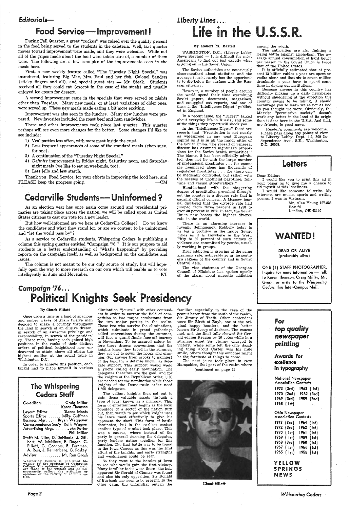### *Editorials-*

## Food Service-lmprovement!

During Fall Quarter, a great "ruckus" was raised over the quality present in the food being served to the students in the cafeteria. Well, last quarter moves toward improvement were made, and they were welcome. While not all of the gripes made about the food were taken care of, a number of them were. The following are a few examples of the improvements seen in the meals here.

First, a new weekly feature called "The Tuesday Night Special" was introduced, featuring Big Mac, Mrs. Paul and her fish, Colonel Sanders (sticky fingers and all), and special guest star  $-$  Mr. Steak. Students received all they could eat ( except in the case of the steak) and usually enjoyed ice cream for dessert.

Thank you, Food Service, for your efforts in improving the food here, and PLEASE keep the progress going.  $-CM$ 

## Cedarville Students-Uninformed?

A second improvement came in the specials that were served on nights other than Tuesday. Many new meals, or at least variations of older ones, were served up. These new meals made eating a bit more exciting.

Improvement was also seen in the lunches. -Many new lunches were prepared. New favorites included the roast beef and ham sandwiches.

These and other improvements took place last quarter. This quarter perhaps will see even more changes for the better. Some changes I'd like to see include:

The column is not meant to be our only source of study, but will hopefully open the way to more research on our own which will enable us to vote intelligently in June and November. The contract of the contract of the contract of the contract of the contract of the contract of the contract of the contract of the contract of the contract of the contract of the contra

# Liberty Lines ... Life in the U.S.S.R.

- 1) Veal patties less often, with more meat inside the crust.
- 2) Less frequent appearances of some of the standard meals (chop suey, for one).
- 3) A continuation of the "Tuesday Night Special."
- 4) *Definite* improvement in Friday night, Saturday noon, and Saturday night meals ( we like to eat on weekends, too).
- 5) Less jello and less starch.

As an election year has once again come around and presidential primaries are taking place across the nation, we will be called upon as United States citizens to cast our vote for a new leader.

But how well-informed are we here at Cedarville College? Do we know the candidates and what they stand for, or are we content to be uninformed and "let the world pass by"?

As a service to Cedarville students, Whispering Cedars is publishing a column this spring quarter entitled "Campaign '76." It is our purpose to aid students in a better understanding of "what's happening" by providing reports on the campaign itself, as well as background on the candidates and issues.

*Campaign* <sup>1</sup>*16 ..•* 

#### By Robert M. Bartell

WASHINGTON, D.C., (Liberty Lobby  $News Service) - It is difficult for most$ Americans to find out just exactly what is going on in the Soviet Union.

Elliott, G. Connors, B. Foreman, A. Ross, J. Dannenberg, C. Poskey Advisor . . . . . . . . . . . Mr. Ron Grosh

Whispering Cedars is published bi-<br>weekly by the students of Cedarville<br>College. The opinions expressed herein<br>are those of the writers and do not<br>necessarily reflect the attitudes or<br>opinions of the faculty or administra-

The Soviet authorities are notoriously close-mouthed about statistics and the average tourist rarely has the opportunity to dig below the surface with the Russian citizenry.

### Political Knights Seek Presidency By Chuck Elliott elimination "jousts" with other contend-

However, a number of people around the world spend their time examining Soviet papers, documents, magazines, and smuggled out reports, and one of these is the "Intelligence Digest" published in England.

In a recent issue, the "Digest" talked about everyday life in Russia, and some of the things they report will shock you.

delegates therefore are the goal, and for the knights of the Republican order 1,130 are needed for the nomination while those knights of the Democratic order need 1,505 delegates.

In the. "Intelligence\_ Digest" there are reports that "Prostitution is not nearly as widespread in any west European capital as it is in all the major cities of the Soviet Union. The spread of venereal disease has assumed nightmare proportions for the Soviet health authorities." The blame, it has been officially admitted, does not lie with the large number of professional prostitutes ... for example Leningrad alone has thousands of registered prostitutes . . . for these can be medically controlled, but rather with the masses of unofficial part-time, fulltime and casual streetwalkers."

So they went to the hamlet of Iowa to see who would gain the first victory. Many familiar faces .were there; the heir apparent Sir Gerald of Clumsy was found and also his only opposition, Sir Ronald of Burbank was seen to be present. In the other camp the unfamiliar outran the



Hand-in-hand with the staggering degree of prostitution prevalent throughout the country is a divorce rate that is causing official concern. A Moscow journal disclosed that the divorce rate had jumped from three percent in 1950 to over 30 percent in 1972. In fact, the Soviet Union now boasts the highest divorce rate in the world.

familiar especially in the case of the peanut baron from the south of the realm, Sir Jimmy of Teeth. Other contenders were Sir Birch of Bayh, one of the original happy hoosiers, and the better known Sir Scoop of Jackson. The caucus met, and the final tally showed Sir Gerald edging Reagan by 16 votes while in a surprise upset Sir Jimmy charged to victory. While some felt the only dazzling thing about Carter was his mile smile, others thought this outcome might be the foretaste of things to come.

There is an alarming increase in juvenile delinquency. Robbery today is as big a problem in the major Soviet cities as it is anywhere in the West. Fifty to 80 percent of such crimes of violence are committed by youths, usually working in groups.

Drug addiction is growing at the same alarming rate, noticeably so in the southern regions of the country and in Soviet Central Asia.

The vice chairman of the Georgian Council of Ministers has spoken openly of the alarm about narcotic addiction

I would like you to print this ad in your paper as to give me a chance to rid myself of this loneliness.

Inquire for more information - talk to Karen Thomson, Craig Miller, Mr. Grosh, or write to the *Whispering Cedars* thru Inter-Campus Mail.

Once upon a time in a land of spacious and amber waves of grain twelve men decided to make a journey throughout the land in search of ah elusive dream, in search of an awesome privilege and responsibility, in search of the presidency. These men, having each gained high positions in the ranks of their distinct orders of political knighthood now endeavored to attain above all others the highest position at the round table in Washington D.C.

### YELLOW SPRINGS **NEWS**

In order to achieve this position, each knight had to place himself in various

| <b>The Whispering</b><br><b>Cedars Staff</b><br>$\ddot{\phantom{0}}$                                                                                                                        |  |  |  |  |  |  |
|---------------------------------------------------------------------------------------------------------------------------------------------------------------------------------------------|--|--|--|--|--|--|
| Co-editors  Craig Miller<br>Karen :Thomson                                                                                                                                                  |  |  |  |  |  |  |
| Layout Editor  Dianne Monts                                                                                                                                                                 |  |  |  |  |  |  |
| Sports Editor Mike Cuffman<br>Business Mgr. Bryan Waggoner                                                                                                                                  |  |  |  |  |  |  |
| Correspondence Sec'y Ruth Wagner                                                                                                                                                            |  |  |  |  |  |  |
| Advertising Mrgs. John Potter<br>Phil Miller                                                                                                                                                |  |  |  |  |  |  |
| Staff: M. Niles, D. DeNicola, J. Gil-<br>bert, W. McNiece, E. Dugan, C.<br>$\mathbf{D}$ $\mathbf{F}$ $\mathbf{L}$ $\mathbf{F}$ $\mathbf{L}$ $\mathbf{F}$ $\mathbf{L}$<br>EII'-11 C C------- |  |  |  |  |  |  |

*Page2* 

ers in order to narrow the field of competition to two major combatants from the two major parties in the realm. Those two who survive the eliminations, which culminate in grand gatherings called conventions during the summer, will face a grand finale face-off tourney in November. To be assured safety before these dragon conventions that the knights knew they faced in the summer, they set out to scour the nooks and crannies (for anyone from crooks to nannies) of the land for a defense known as delegate support. This support would wield a sword called early nomination. The

The valiant knights then set out to gain these valuable assets through a type of joust known as a primary. This form of entertainment begins as the local populace of a sector of the nation turn out, then watch to see which knight uses his lance most effectively to give his opponent the shaft. This form of battle dominates, but in the earliest contest another type of combat took place. This was a caucus, where instead of\_ the party in general choosing the delegates, party leaders gather together for this function. The first battle was to be found in the Iowa Caucus as this was the first effort of the knights, and early strengths and weaknesses could be seen.

The next joust took place in New Hampshire, that part of the realm where (continued on page 3)

Chuck Elliott

among the youth.

The authorities are also fighting a losing battle against alcoholism. The average annual consumption of hard liquor per person in the Soviet Union is twice that of the United States.

It is officially estimated that at present 13 billion rubles a year are spent on vodka alone and that six to seven million drunkards a year have to spend some time in drying out institutions.

Because anyone in this country has difficulty picking up a daily newspaper without shuddering at the direction this country seems to be taking, it should encourage you to learn we're not as bad as you thought we were. Obviously, the Marxist "permissive society" doesn't work any better in the land of its origin than it does here in the U.S.A. And that, my friends, is good news.

Reader's comments are welcome. Please pass along any points of view to Liberty Lobby, Dept. 4-2, 300 Independence Ave., S.E., Washington, D.C. 20003.

## **Letters**

#### Dear Editor:

I would like someone to write. My interests are music, sports and writing poems. I was in Vietnam.

Mr. Alan Young 127-828 Box 69

London, OH 43140

# WANTED! DEAD OR ALIVE (preferably alive) ONE (I) STAFF PHOTOGRAPHER.



Awards for exeHence in typography

National Newspaper Association Contests 1973 {3rd) 1963 ( 1st) 1970 (2nd) 1962 (3rd) 1969 (3rd) 1959 {2nd) 1965 ( !st) Ohio Newspaper Association Contests

1973 (3rd) 1972 (3rd) 1970 { 1st) 1969 ( 1st) 1968 (3rd) 1967 ( !st) 1965 ( 1st) 1955 ( 1st) 1964 (1st) 1962 ( 1st) 1961 ( 1st) 1959 ( 1st} 1958 ( 1st} 1956 {1st)

*Whispering Cedars*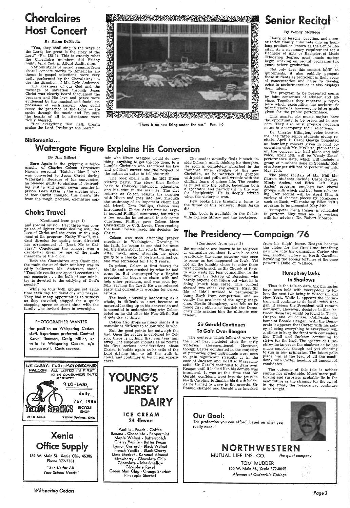# **Choralaires** ost Concert

#### By Diane DeNicola

"Yea, they shall sing in the ways of<br>the Lord; for great is the glory of the Lord" (Ps. 138:5). This is exactly what<br>the Choralaire members did Friday night, April 2nd, in Alford Auditorium.

Various styles of music, ranging from choral concert works to American anthems to gospel selections, were very aptly performed by the Choralaires under the direction of Mr. Lyle Anderson.

## Senior Recital '

The greatness of our God and the message of salvation through Jesus<br>Christ was clearly heard throughout the<br>program and His love and peace were evidenced by the musical and facial expressions of each singer. One could sense the presence of the  $Lord - He$ spoke through the music and I'm sure the hearts of all in attendance were richly blessed.

Not only does this concert fulfill rethese students as proficient *in* their areas of concentration and helps to develop poise in performance as it also displays their talent.

The program to be presented comes by joint consensus of advisor and advisee. Together they rehearse a repertoire which exemplifies the performer's talent. There is, however, no letter grade given for the public performance.<br>This quarter six music majors have

"Let everything that hath breath praise the Lord. Praise ye the Lord."

#### 図



EN ON ON ON ON ON ON ON ON ON ON ON ON ORDER

"There is no new thing under the sun." Ecc. 1:9

### Bibliomania ..•

the opportunity to be presented in concert. They also must prepare program notes to accompany their selections.

#### By Wendy McNiece

Hours of lessons, practice, and memorization finally culminate into an hourlong production known as the Senior Recital. As a necessary requirement for a Bachelor of Arts or Bachelor. of Music Education degree, most music majors begin working on recital programs two years before graduation.

Dr. Charles Ellington, voice instruc-<br>tor, has three senior students giving recitals. April 1, Carol George presented an hour-long concert given in joint co operation with Mr. McClure, piano teacher. Her concert was half piano and half voice. April 13th will be Wendy Estes' performance date, which will include, a group of numbers done in Spanish. Koletta Stamper will not be performing until May 20th.

# Watergate Figure Explains His Conversion

#### By Jim Gilbert

The book opens with the 1972 Nixon victory party. The story then flashes back to Colson's childhood, education, and his stint in the marines. The plot returns as Colson resigns his position the testimony of an important client and old friend, Tom Phillips, Colson was introduced to Christ. At the time he large- ly ignored Phillips' comments, but within a few months he returned to ask some questions. Phillips gave Colson Mere Christianity by C. S. Lewis. Upon reading the book, Colson made his decision for Christ.

Born Again is the gripping autobiography of Charles Colson (President Nixon's personal "Hatchet Man") who was converted to Jesus Christ during Watergate. Because of his conversion, he pleaded guilty to charges of obstructing justice and spent seven months in prison. Born Again is the moving story of how Christ changed this man's life from the tough, profane, ex-maripe cap-

### Choirs Travel

#### (Continued from page 1)

and special music. Part three was comprised of lighter music dealing with the love of Christ and the cross. In this segment of the program, Kathy Howell, student director for spring tour, directed her arrangement of "Lead Me to Calvary." Concluding the concert was <sup>a</sup> devotional given by one of the male members of the choir.

Both the Choralaires and Choir feel the main thrust of their ministry was to edify believers. Mr. Anderson stated, "Tangible results are special occasions in our concerts . . . the bulk of our ministry is devoted to the edifying of God's people."

The reader actually finds himself in-<br>side Colson's mind, thinking his thoughts. He soon is completely absorbed in the immense inner struggle of this new Christian, as he watches his grapple<br>with pride and guilt, and wrestle with the chilling fears of prison life. The reader is pulled into the battle, becoming both <sup>a</sup>spectator and participant in the war for discipleship. He is deeply stirred when the victory is won.

While on tour both groups set aside time each day for devotions and prayer.<br>They had many opportunities to witness as they traveled, stopped for <sup>a</sup>quick shopping spree or spent time with the family who invited them in overnight.

#### PHOTOGRAPHER WANTED

The piano recitals of Mr. Phil Mc-<br>Clure's students include Carol George, Mindy Andes, and Ellen Taft. Miss Andes' program employs, two choral groups with which she has·been rehearsing. Her recital will be April 19th. A such as Bach, will make up Ellen Taft's program to be presented May 24th.

for position on Whispering Cedars staff. Experience preferred. Contact Karen Thomson, Craig Miller, or write to Whispering Cedars, c/o campus mail. Costs covered.

|        | <b>WE CARRY: FUGI-MOTOBECANE-</b> |  |  |  |
|--------|-----------------------------------|--|--|--|
| FALCON | ALL LISTED IN FIRST               |  |  |  |



tain who Nixon bragged would do anything, anything to get the job done, to <sup>a</sup> humble Christian who sacrificed his law and political career and the respect of the nation *in* order to tell the truth.

> The outcome of this tale is neither simple nor predictable. Much more politicking and surprises probably lie in the near future as the struggle for the sword in the stone, the presidency, continues to be fought.

Colson was soon attending prayer meetings *in* Washington. Growing in his faith, he began to see that he must tell the truth about his role in Watergate. After much inner struggle, he plead guilty to a charge of obstructing justice, and was sentenced for 1 to 3 years.

> The protection you can afford, based on what you really need. $``$



TOM MUDDER I 00 W. Main St., Xenia 372-8045 *Alumnus of Cedarville* College

In prison, Colson at first feared for his life and was crushed by what he had come to. But encouraged by a Baptist preacher, he began to share with and help other prisoners, and was soon joy- fully serving the Lord. He was released early and currently is working-for prison reform.

The book, unusually interesting as a whole, is difficult to start because of material leading up to his conversion and is essential in understanding why Colson acted as he did after his New Birth. But -it gets dry at times,

Colson also drops so many names it is sometimes difficult to follow who is who.

But the good points far outweigh the bad. Once the reader is captured by Colson, there is nothing that can tear him away. The suspense mounts as he relates his first serious considerations about Christ. It builds again as he tells of the Lord driving him to tell the truth in court, and continues in his prison experiences.



Chocolate Revel Green Mint Chip - Orange Sherbet Pineapple Sherbet

Few books have brought a lump to the throat of this reviewer. Born Again did.

This book is available in the Cedarville College library and the bookstore.

Trumpeter Keith Risner is scheduled to perform May 22nd and is working with his advisor, Dr. Robert Monroe.

# The Presidency-Campaign '76

#### (Continued from page 2)

the mountains are known to be as green as campaign promises. It was here that practically the same outcome was seen to occur as had happened in Iowh. Yet not all the knights chose to enter these first contests such as Sir Church of Potato who waits for less competition in the field and Sir Schapp of Boredom who hardly anyone can figure out what he is doing (much less care). This contest showed two other key events. First Sir Mo of Udall seemed to permanently bump Bayh from competition, and se-<br>condly the presence of the aging magician, Merlin Humphrey, was felt as he made first efforts to bewitch the Democrats into making him the ultimate contender.

### Sir Gerald Continues To Gain Over Reagan

The contests which followed were for the most part modeled after the early<br>victories aforementioned. However, aforementioned. though Carter dominated in the majority of primaries other individuals were seen to gain significant strength as in the case of Jackson and Udall in Massachusetts. Sir Gerald continued to gain over Reagan until it looked like his demise was imminent. It was. at this time that Sir Gerald, confident, went into the joust in North Carolina to finalize his death holds. As he turned to wave to the crowds, Sir Ronald charged and Gerald was knocked

### Our Goal:

from his (high) horse. Reagan became the victor for the first time breathing new life into his campaign. Carter also won another victory in North Carolina, heralding the ebbing fortunes of the once powerful Duke of Wallace.

### Humphrey Lurks In Shadows

Thus is the tale to date. Six primaries have been held with twenty-four to follow. the next two being in Wisconsin and New York. While it appears the incumbant will continue to do battle with Reagan, it seems the President will remain dominant. However, decisive battles between these two might be found in Texas, Oregon and of course, California, the home of Ronald Reagan. With the Democrats it appears that Carter with his policy of being everything to everybody will continue to keep the front with contenders like Udall and Jackson continuing to strive for the lead. The spectre of Humphrey lurks yet in the shadows as he has much support, though not yet choosing to run in any primaries. The latest polls place him at the lead of all the candidates with Carter heading all announced candidates. ·

MUTUAL LIFE INS. CO. *the quiet company* 

*Page3* 

# NORTHWESTERN